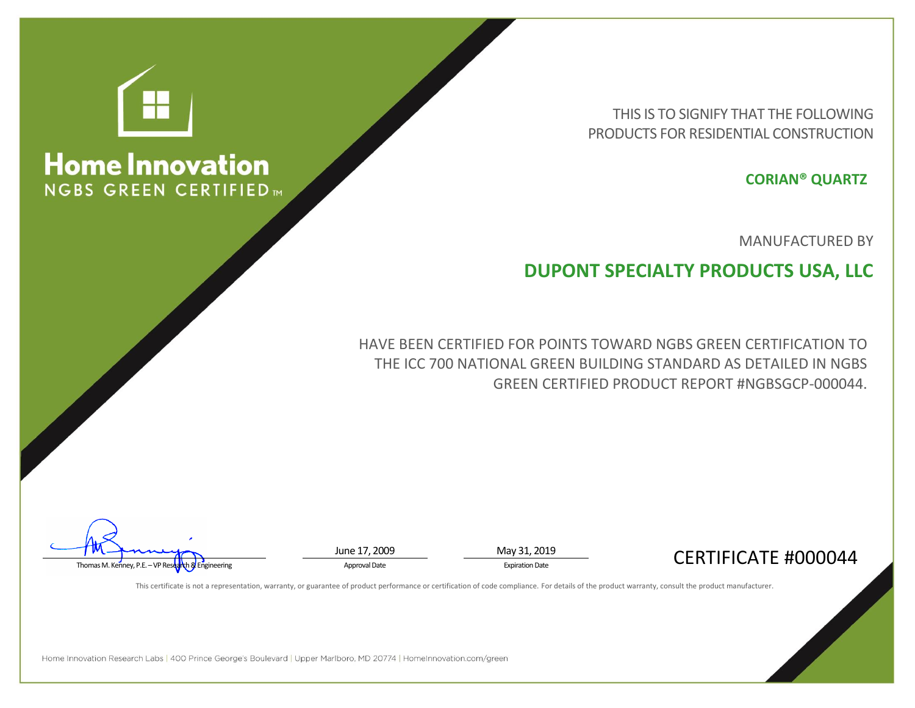

## **Home Innovation NGBS GREEN CERTIFIED** IM

THIS IS TO SIGNIFY THAT THE FOLLOWING PRODUCTS FOR RESIDENTIAL CONSTRUCTION

**CORIAN® QUARTZ**

MANUFACTURED BY

## **DUPONT SPECIALTY PRODUCTS USA, LLC**

HAVE BEEN CERTIFIED FOR POINTS TOWARD NGBS GREEN CERTIFICATION TO THE ICC 700 NATIONAL GREEN BUILDING STANDARD AS DETAILED IN NGBS GREEN CERTIFIED PRODUCT REPORT #NGBSGCP-000044.

June 17, 2009 May 31, 2019

## Thomas M. Kenney, P.E. –VP Research & Engineering Approval Date Approval Date Approval Date Expiration Date Expiration Date **CERTIFICATE #000044**

This certificate is not a representation, warranty, or guarantee of product performance or certification of code compliance. For details of the product warranty, consult the product manufacturer.

Home Innovation Research Labs | 400 Prince George's Boulevard | Upper Marlboro, MD 20774 | HomeInnovation.com/green